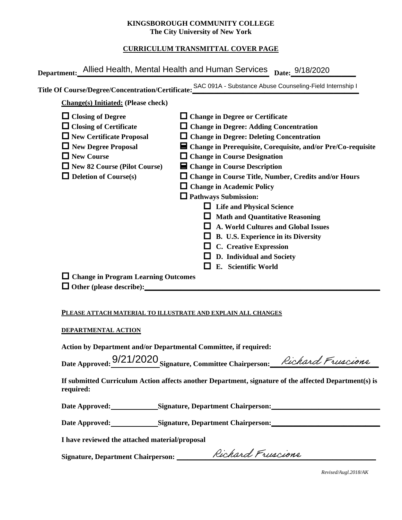## **KINGSBOROUGH COMMUNITY COLLEGE The City University of New York**

# **CURRICULUM TRANSMITTAL COVER PAGE**

|                                                                                                                                                                                                          | Department: Allied Health, Mental Health and Human Services Date: 9/18/2020                                                                                                                                                                                                                                                                                                                                                                                                                                                                                                                                                                                                                           |
|----------------------------------------------------------------------------------------------------------------------------------------------------------------------------------------------------------|-------------------------------------------------------------------------------------------------------------------------------------------------------------------------------------------------------------------------------------------------------------------------------------------------------------------------------------------------------------------------------------------------------------------------------------------------------------------------------------------------------------------------------------------------------------------------------------------------------------------------------------------------------------------------------------------------------|
|                                                                                                                                                                                                          | Title Of Course/Degree/Concentration/Certificate: SAC 091A - Substance Abuse Counseling-Field Internship I                                                                                                                                                                                                                                                                                                                                                                                                                                                                                                                                                                                            |
| <b>Change(s)</b> Initiated: (Please check)                                                                                                                                                               |                                                                                                                                                                                                                                                                                                                                                                                                                                                                                                                                                                                                                                                                                                       |
| $\Box$ Closing of Degree<br>$\Box$ Closing of Certificate<br>$\Box$ New Certificate Proposal<br>New Degree Proposal<br>$\Box$ New Course<br>New 82 Course (Pilot Course)<br>$\Box$ Deletion of Course(s) | $\Box$ Change in Degree or Certificate<br>□ Change in Degree: Adding Concentration<br>$\Box$ Change in Degree: Deleting Concentration<br>■ Change in Prerequisite, Corequisite, and/or Pre/Co-requisite<br>$\Box$ Change in Course Designation<br>$\blacksquare$ Change in Course Description<br>$\Box$ Change in Course Title, Number, Credits and/or Hours<br>$\Box$ Change in Academic Policy<br>$\Box$ Pathways Submission:<br>$\Box$ Life and Physical Science<br>$\Box$ Math and Quantitative Reasoning<br>$\Box$ A. World Cultures and Global Issues<br>$\Box$ B. U.S. Experience in its Diversity<br>$\Box$ C. Creative Expression<br>$\Box$ D. Individual and Society<br>E. Scientific World |
| $\Box$ Change in Program Learning Outcomes                                                                                                                                                               |                                                                                                                                                                                                                                                                                                                                                                                                                                                                                                                                                                                                                                                                                                       |
| DEPARTMENTAL ACTION                                                                                                                                                                                      | PLEASE ATTACH MATERIAL TO ILLUSTRATE AND EXPLAIN ALL CHANGES<br>Action by Department and/or Departmental Committee, if required:<br>Date Approved: 9/21/2020 Signature Committee Chairperson: Richard Frusciane                                                                                                                                                                                                                                                                                                                                                                                                                                                                                       |

#### **PLEASE ATTACH MATERIAL TO ILLUSTRATE AND EXPLAIN ALL CHANGES**

#### **DEPARTMENTAL ACTION**

Date Approved: 9/21/2020 Signature, Committee Chairperson: Richard Fruscione

**If submitted Curriculum Action affects another Department, signature of the affected Department(s) is required:**

Date Approved: Signature, Department Chairperson:

Date Approved: Signature, Department Chairperson: Network and Approved: Network and Separature, Department Chairperson:

**I have reviewed the attached material/proposal**

**Signature, Department Chairperson: \_\_\_\_\_\_\_\_\_\_\_\_\_\_\_\_\_\_\_\_\_\_\_\_\_\_\_\_\_\_\_\_\_\_\_\_\_\_\_\_\_\_\_\_\_\_\_\_\_\_\_\_\_\_\_**

*Revised/Augl.2018/AK*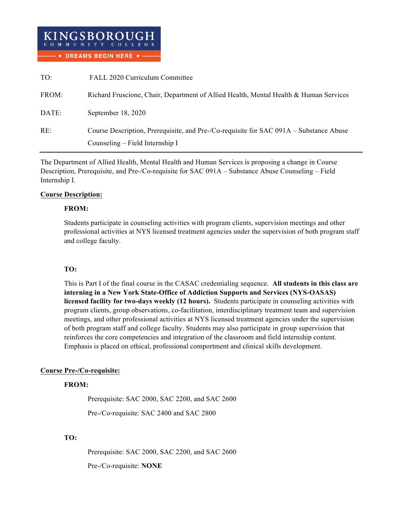

| TO:   | FALL 2020 Curriculum Committee                                                                                            |  |
|-------|---------------------------------------------------------------------------------------------------------------------------|--|
| FROM: | Richard Fruscione, Chair, Department of Allied Health, Mental Health & Human Services                                     |  |
| DATE: | September 18, 2020                                                                                                        |  |
| RE:   | Course Description, Prerequisite, and Pre-/Co-requisite for SAC 091A – Substance Abuse<br>Counseling – Field Internship I |  |
|       |                                                                                                                           |  |

The Department of Allied Health, Mental Health and Human Services is proposing a change in Course Description, Prerequisite, and Pre-/Co-requisite for SAC 091A – Substance Abuse Counseling – Field Internship I.

## **Course Description:**

#### **FROM:**

Students participate in counseling activities with program clients, supervision meetings and other professional activities at NYS licensed treatment agencies under the supervision of both program staff and college faculty.

# **TO:**

This is Part I of the final course in the CASAC credentialing sequence. **All students in this class are interning in a New York State-Office of Addiction Supports and Services (NYS-OASAS) licensed facility for two-days weekly (12 hours).** Students participate in counseling activities with program clients, group observations, co-facilitation, interdisciplinary treatment team and supervision meetings, and other professional activities at NYS licensed treatment agencies under the supervision of both program staff and college faculty. Students may also participate in group supervision that reinforces the core competencies and integration of the classroom and field internship content. Emphasis is placed on ethical, professional comportment and clinical skills development.

# **Course Pre-/Co-requisite:**

# **FROM:**

Prerequisite: SAC 2000, SAC 2200, and SAC 2600

Pre-/Co-requisite: SAC 2400 and SAC 2800

# **TO:**

Prerequisite: SAC 2000, SAC 2200, and SAC 2600 Pre-/Co-requisite: **NONE**